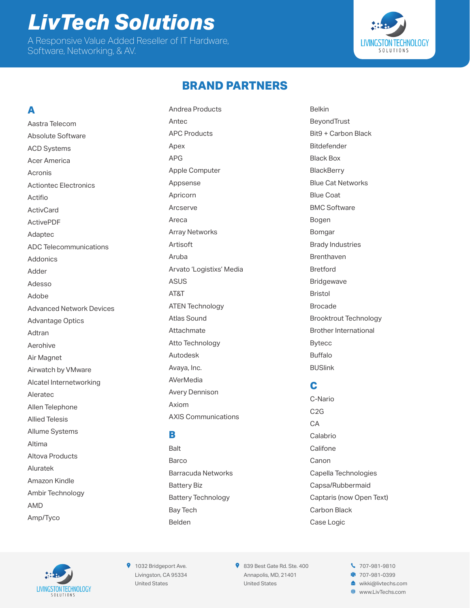## *LivTech Solutions* A Responsive Value Added Reseller of IT Hardware,

Software, Networking, & AV.



## **BRAND PARTNERS**

## **A**

Aastra Telecom Absolute Software ACD Systems Acer America Acronis Actiontec Electronics Actifio **ActivCard** ActivePDF Adaptec ADC Telecommunications Addonics Adder Adesso Adobe Advanced Network Devices Advantage Optics Adtran Aerohive Air Magnet Airwatch by VMware Alcatel Internetworking Aleratec Allen Telephone Allied Telesis Allume Systems Altima Altova Products Aluratek Amazon Kindle Ambir Technology AMD Amp/Tyco

Andrea Products Antec APC Products Apex APG Apple Computer Appsense Apricorn Arcserve Areca Array Networks Artisoft Aruba Arvato 'Logistixs' Media ASUS AT&T ATEN Technology Atlas Sound Attachmate Atto Technology Autodesk Avaya, Inc. **AVerMedia** Avery Dennison Axiom AXIS Communications

## **B**

Balt **Barco** Barracuda Networks Battery Biz Battery Technology Bay Tech Belden

Belkin BeyondTrust Bit9 + Carbon Black Bitdefender Black Box **BlackBerry** Blue Cat Networks Blue Coat BMC Software Bogen Bomgar Brady Industries Brenthaven Bretford Bridgewave Bristol Brocade Brooktrout Technology Brother International Bytecc Buffalo BUSlink

## **C**

C-Nario C2G **CA** Calabrio **Califone** Canon Capella Technologies Capsa/Rubbermaid Captaris (now Open Text) Carbon Black Case Logic



**9** 1032 Bridgeport Ave. Livingston, CA 95334 United States

839 Best Gate Rd. Ste. 400 Annapolis, MD, 21401 United States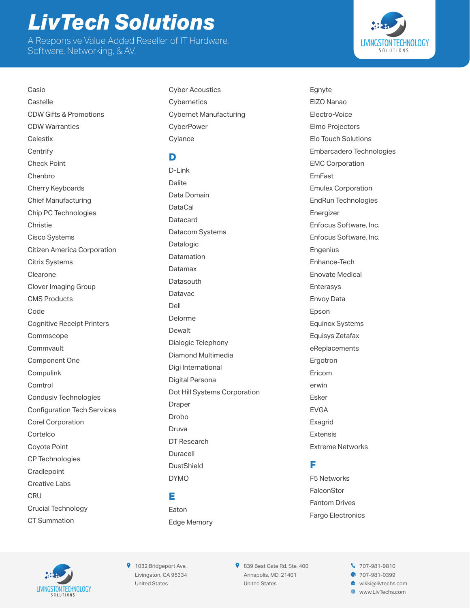A Responsive Value Added Reseller of IT Hardware, Software, Networking, & AV.



Casio **Castelle** CDW Gifts & Promotions CDW Warranties **Celestix Centrify** Check Point Chenbro Cherry Keyboards Chief Manufacturing Chip PC Technologies Christie Cisco Systems Citizen America Corporation Citrix Systems Clearone Clover Imaging Group CMS Products Code Cognitive Receipt Printers Commscope **Commvault** Component One Compulink **Comtrol** Condusiv Technologies Configuration Tech Services Corel Corporation Cortelco Coyote Point CP Technologies **Cradlepoint** Creative Labs **CRU** Crucial Technology CT Summation

Cyber Acoustics **Cybernetics** Cybernet Manufacturing **CyberPower Cylance** 

## **D**

D-Link Dalite Data Domain **DataCal** Datacard Datacom Systems Datalogic **Datamation** Datamax **Datasouth** Datavac Dell Delorme **Dewalt** Dialogic Telephony Diamond Multimedia Digi International Digital Persona Dot Hill Systems Corporation Draper Drobo Druva DT Research Duracell DustShield DYMO

### **E**

Eaton Edge Memory Egnyte EIZO Nanao Electro-Voice Elmo Projectors Elo Touch Solutions Embarcadero Technologies EMC Corporation EmFast Emulex Corporation EndRun Technologies Energizer Enfocus Software, Inc. Enfocus Software, Inc. Engenius Enhance-Tech Enovate Medical Enterasys Envoy Data Epson Equinox Systems Equisys Zetafax eReplacements Ergotron Ericom erwin Esker EVGA Exagrid Extensis Extreme Networks

## **F**

F5 Networks FalconStor Fantom Drives Fargo Electronics



**9** 1032 Bridgeport Ave. Livingston, CA 95334 United States

839 Best Gate Rd. Ste. 400 Annapolis, MD, 21401 United States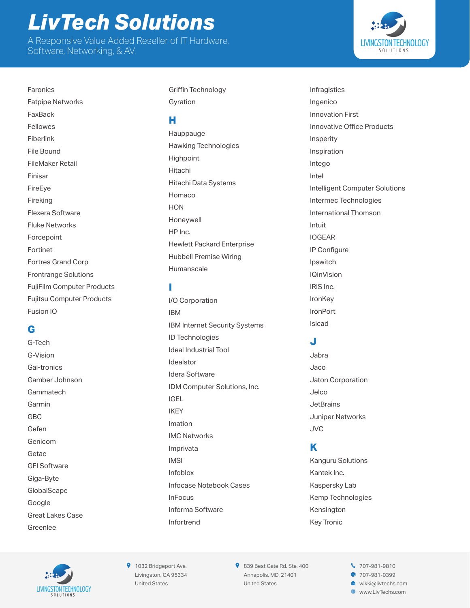A Responsive Value Added Reseller of IT Hardware, Software, Networking, & AV.

**LIVINGSTON TECHNOLOGY** SOLUTIONS

Fatpipe Networks FaxBack Fellowes Fiberlink File Bound FileMaker Retail Finisar FireEye Fireking Flexera Software Fluke Networks Forcepoint Fortinet Fortres Grand Corp Frontrange Solutions FujiFilm Computer Products Fujitsu Computer Products Fusion IO

Faronics

## **G**

G-Tech G-Vision Gai-tronics Gamber Johnson Gammatech Garmin GBC Gefen Genicom Getac GFI Software Giga-Byte **GlobalScape** Google Great Lakes Case Greenlee

Griffin Technology Gyration

#### **H**

Hauppauge Hawking Technologies **Highpoint** Hitachi Hitachi Data Systems Homaco **HON** Honeywell HP Inc. Hewlett Packard Enterprise Hubbell Premise Wiring Humanscale

### **I**

I/O Corporation IBM IBM Internet Security Systems ID Technologies Ideal Industrial Tool Idealstor Idera Software IDM Computer Solutions, Inc. IGEL IKEY Imation IMC Networks Imprivata IMSI Infoblox Infocase Notebook Cases InFocus Informa Software Infortrend

Infragistics Ingenico Innovation First Innovative Office Products Insperity Inspiration Intego Intel Intelligent Computer Solutions Intermec Technologies International Thomson Intuit IOGEAR IP Configure Ipswitch IQinVision IRIS Inc. IronKey IronPort Isicad

## **J**

Jabra Jaco Jaton Corporation Jelco **JetBrains** Juniper Networks JVC

## **K**

Kanguru Solutions Kantek Inc. Kaspersky Lab Kemp Technologies Kensington Key Tronic



**9** 1032 Bridgeport Ave. Livingston, CA 95334 United States

839 Best Gate Rd. Ste. 400 Annapolis, MD, 21401 United States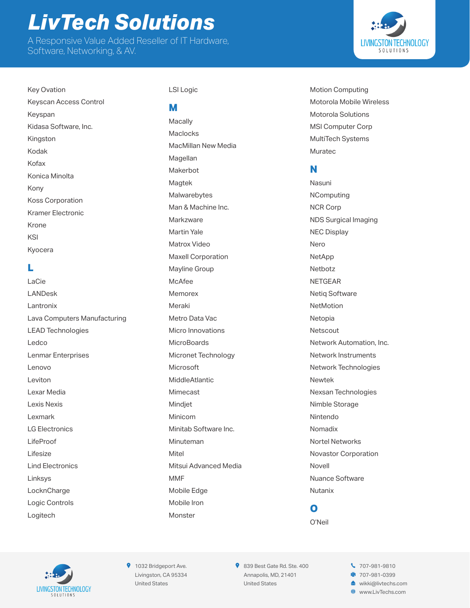A Responsive Value Added Reseller of IT Hardware, Software, Networking, & AV.



Key Ovation Keyscan Access Control Keyspan Kidasa Software, Inc. Kingston Kodak Kofax Konica Minolta Kony Koss Corporation Kramer Electronic Krone KSI Kyocera

### **L**

LaCie LANDesk Lantronix Lava Computers Manufacturing LEAD Technologies Ledco Lenmar Enterprises Lenovo Leviton Lexar Media Lexis Nexis Lexmark LG Electronics LifeProof Lifesize Lind Electronics Linksys LocknCharge Logic Controls Logitech

#### LSI Logic

#### **M**

**Macally Maclocks** MacMillan New Media Magellan Makerbot **Magtek** Malwarebytes Man & Machine Inc. **Markzware** Martin Yale Matrox Video Maxell Corporation Mayline Group McAfee Memorex Meraki Metro Data Vac Micro Innovations **MicroBoards** Micronet Technology Microsoft MiddleAtlantic Mimecast Mindjet Minicom Minitab Software Inc. Minuteman Mitel Mitsui Advanced Media MMF Mobile Edge Mobile Iron Monster

Motion Computing Motorola Mobile Wireless Motorola Solutions MSI Computer Corp MultiTech Systems Muratec

#### **N**

Nasuni **NComputing** NCR Corp NDS Surgical Imaging NEC Display Nero NetApp Netbotz **NFTGFAR** Netiq Software NetMotion Netopia Netscout Network Automation, Inc. Network Instruments Network Technologies Newtek Nexsan Technologies Nimble Storage Nintendo Nomadix Nortel Networks Novastor Corporation Novell Nuance Software Nutanix

#### **O** O'Neil



**9** 1032 Bridgeport Ave. Livingston, CA 95334 United States

839 Best Gate Rd. Ste. 400 Annapolis, MD, 21401 United States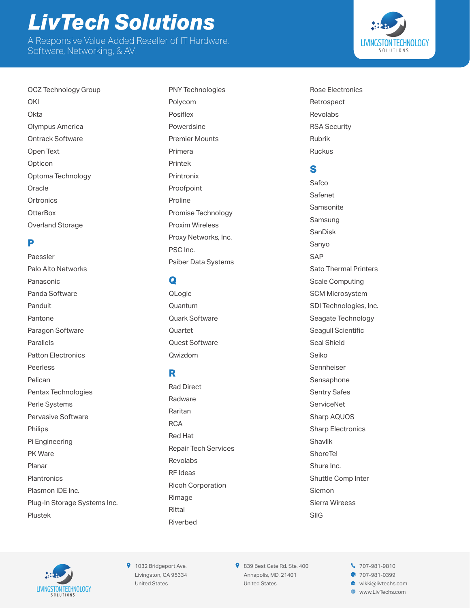A Responsive Value Added Reseller of IT Hardware, Software, Networking, & AV.

OCZ Technology Group **OKI Okta** Olympus America Ontrack Software Open Text Opticon Optoma Technology **Oracle Ortronics OtterBox** Overland Storage

#### **P**

Paessler Palo Alto Networks Panasonic Panda Software Panduit Pantone Paragon Software Parallels Patton Electronics Peerless Pelican Pentax Technologies Perle Systems Pervasive Software Philips Pi Engineering PK Ware Planar **Plantronics** Plasmon IDE Inc. Plug-In Storage Systems Inc. Plustek

PNY Technologies Polycom Posiflex Powerdsine Premier Mounts Primera Printek Printronix Proofpoint Proline Promise Technology Proxim Wireless Proxy Networks, Inc. PSC Inc. Psiber Data Systems

## **Q**

QLogic Quantum Quark Software **Quartet** Quest Software Qwizdom

## **R**

Rad Direct Radware Raritan **RCA** Red Hat Repair Tech Services Revolabs RF Ideas Ricoh Corporation Rimage Rittal Riverbed

Rose Electronics Retrospect Revolabs RSA Security Rubrik Ruckus

#### **S**

Safco Safenet **Samsonite** Samsung SanDisk Sanyo **SAP** Sato Thermal Printers Scale Computing SCM Microsystem SDI Technologies, Inc. Seagate Technology Seagull Scientific Seal Shield Seiko Sennheiser Sensaphone Sentry Safes **ServiceNet** Sharp AQUOS Sharp Electronics Shavlik **ShoreTel** Shure Inc. Shuttle Comp Inter Siemon Sierra Wireess SIIG



**9** 1032 Bridgeport Ave. Livingston, CA 95334 United States

839 Best Gate Rd. Ste. 400 Annapolis, MD, 21401 United States

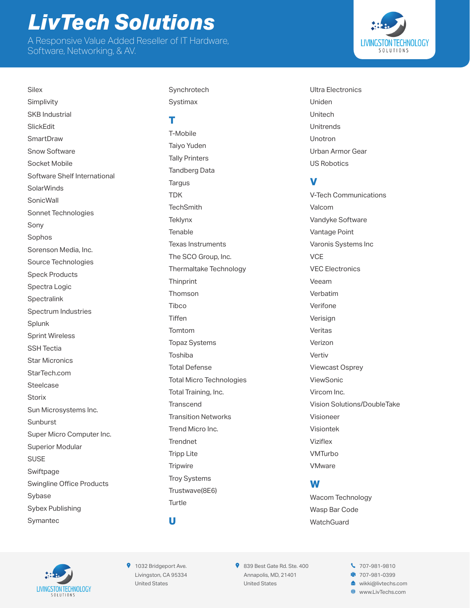A Responsive Value Added Reseller of IT Hardware, Software, Networking, & AV.



Simplivity SKB Industrial **SlickFdit SmartDraw** Snow Software Socket Mobile Software Shelf International **SolarWinds SonicWall** Sonnet Technologies Sony Sophos Sorenson Media, Inc. Source Technologies Speck Products Spectra Logic **Spectralink** Spectrum Industries Splunk Sprint Wireless SSH Tectia Star Micronics StarTech.com Steelcase **Storix** Sun Microsystems Inc. Sunburst Super Micro Computer Inc. Superior Modular SUSE Swiftpage Swingline Office Products Sybase Sybex Publishing Symantec

**Silex** 

Synchrotech Systimax

#### **T**

T-Mobile Taiyo Yuden Tally Printers Tandberg Data **Targus TDK TechSmith Teklynx** Tenable Texas Instruments The SCO Group, Inc. Thermaltake Technology **Thinprint** Thomson Tibco **Tiffen** Tomtom Topaz Systems Toshiba Total Defense Total Micro Technologies Total Training, Inc. **Transcend** Transition Networks Trend Micro Inc. **Trendnet** Tripp Lite **Tripwire** Troy Systems Trustwave(8E6) **Turtle** 

Ultra Electronics Uniden Unitech Unitrends Unotron Urban Armor Gear US Robotics

## **V**

V-Tech Communications Valcom Vandyke Software Vantage Point Varonis Systems Inc **VCF** VEC Electronics Veeam Verbatim Verifone **Verisian** Veritas Verizon Vertiv Viewcast Osprey ViewSonic Vircom Inc. Vision Solutions/DoubleTake Visioneer Visiontek Viziflex VMTurbo **VMware** 

## **W**

Wacom Technology Wasp Bar Code **WatchGuard** 



**9** 1032 Bridgeport Ave. Livingston, CA 95334 United States

**U**

839 Best Gate Rd. Ste. 400 Annapolis, MD, 21401 United States